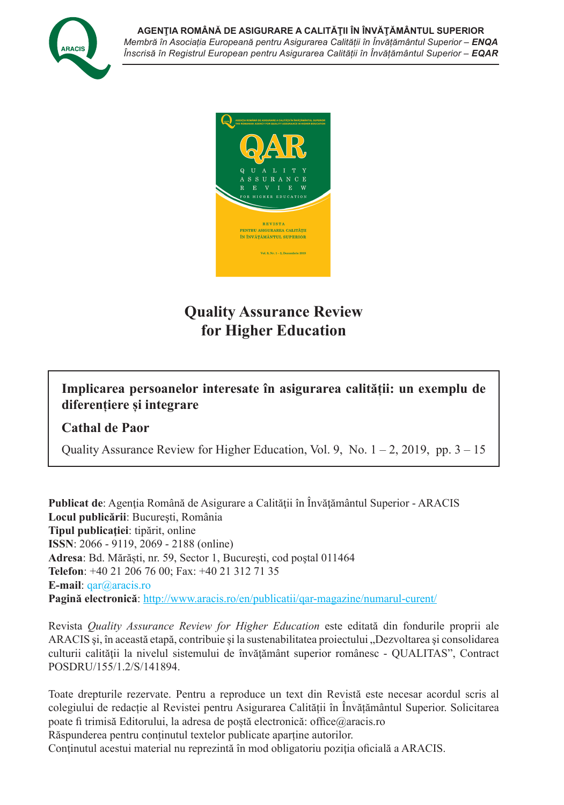



# **Quality Assurance Review for Higher Education**

# **Implicarea persoanelor interesate în asigurarea calității: un exemplu de diferențiere și integrare**

### **Cathal de Paor**

Quality Assurance Review for Higher Education, Vol. 9, No.  $1 - 2$ , 2019, pp.  $3 - 15$ 

**Publicat de**: Agenția Română de Asigurare a Calității în Învățământul Superior - ARACIS **Locul publicării**: Bucureşti, România **Tipul publicaţiei**: tipărit, online **ISSN**: 2066 - 9119, 2069 - 2188 (online) **Adresa**: Bd. Mărăști, nr. 59, Sector 1, Bucureşti, cod poştal 011464 **Telefon**: +40 21 206 76 00; Fax: +40 21 312 71 35 **E-mail**: qar@aracis.ro **Pagină electronică**: http://www.aracis.ro/en/publicatii/qar-magazine/numarul-curent/

Revista *Quality Assurance Review for Higher Education* este editată din fondurile proprii ale ARACIS și, în această etapă, contribuie și la sustenabilitatea proiectului "Dezvoltarea și consolidarea culturii calităţii la nivelul sistemului de învăţământ superior românesc - QUALITAS", Contract POSDRU/155/1.2/S/141894.

Toate drepturile rezervate. Pentru a reproduce un text din Revistă este necesar acordul scris al colegiului de redacție al Revistei pentru Asigurarea Calității în Învățământul Superior. Solicitarea poate fi trimisă Editorului, la adresa de poștă electronică: office@aracis.ro Răspunderea pentru conținutul textelor publicate aparține autorilor.

Conținutul acestui material nu reprezintă în mod obligatoriu poziția oficială a ARACIS.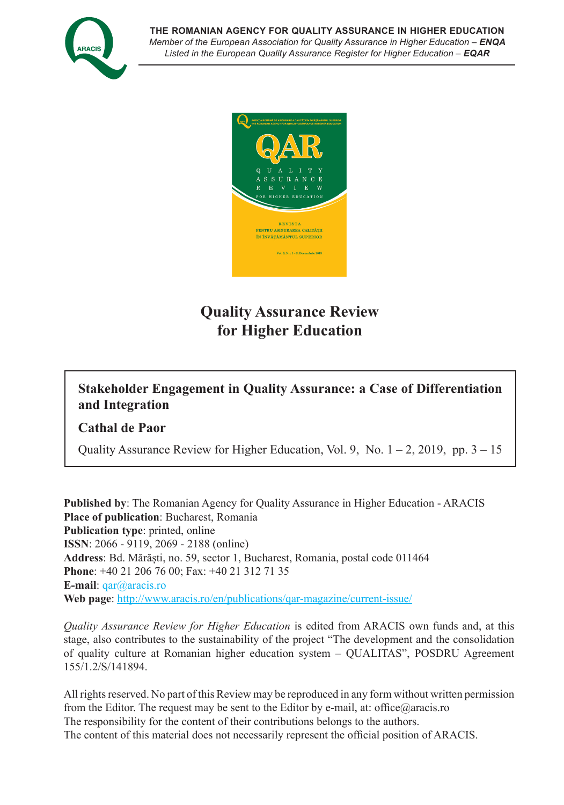



# **Quality Assurance Review for Higher Education**

# **Stakeholder Engagement in Quality Assurance: a Case of Differentiation and Integration**

### **Cathal de Paor**

Quality Assurance Review for Higher Education, Vol. 9, No.  $1 - 2$ , 2019, pp.  $3 - 15$ 

**Published by**: The Romanian Agency for Quality Assurance in Higher Education - ARACIS **Place of publication**: Bucharest, Romania **Publication type**: printed, online **ISSN**: 2066 - 9119, 2069 - 2188 (online) **Address**: Bd. Mărăști, no. 59, sector 1, Bucharest, Romania, postal code 011464 **Phone**: +40 21 206 76 00; Fax: +40 21 312 71 35 **E-mail**: qar@aracis.ro **Web page**: http://www.aracis.ro/en/publications/qar-magazine/current-issue/

*Quality Assurance Review for Higher Education* is edited from ARACIS own funds and, at this stage, also contributes to the sustainability of the project "The development and the consolidation of quality culture at Romanian higher education system – QUALITAS", POSDRU Agreement 155/1.2/S/141894.

All rights reserved. No part of this Review may be reproduced in any form without written permission from the Editor. The request may be sent to the Editor by e-mail, at: office@aracis.ro The responsibility for the content of their contributions belongs to the authors. The content of this material does not necessarily represent the official position of ARACIS.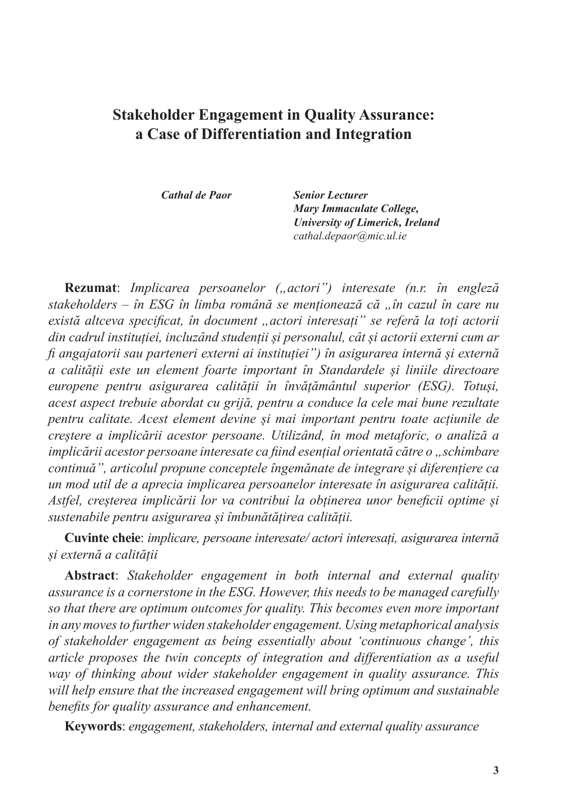# **Stakeholder Engagement in Quality Assurance: a Case of Differentiation and Integration**

*Cathal de Paor Senior Lecturer Mary Immaculate College, University of Limerick, Ireland cathal.depaor@mic.ul.ie*

**Rezumat**: *Implicarea persoanelor ("actori") interesate (n.r. în engleză stakeholders – în ESG în limba română se menționează că "în cazul în care nu există altceva specificat, în document "actori interesați" se referă la toți actorii din cadrul instituției, incluzând studenții și personalul, cât și actorii externi cum ar fi angajatorii sau parteneri externi ai instituției") în asigurarea internă și externă a calității este un element foarte important în Standardele și liniile directoare europene pentru asigurarea calității în învățământul superior (ESG). Totuși, acest aspect trebuie abordat cu grijă, pentru a conduce la cele mai bune rezultate pentru calitate. Acest element devine și mai important pentru toate acțiunile de creștere a implicării acestor persoane. Utilizând, în mod metaforic, o analiză a implicării acestor persoane interesate ca fiind esențial orientată către o "schimbare continuă", articolul propune conceptele îngemănate de integrare și diferențiere ca un mod util de a aprecia implicarea persoanelor interesate în asigurarea calității. Astfel, creșterea implicării lor va contribui la obținerea unor beneficii optime și sustenabile pentru asigurarea și îmbunătățirea calității.*

**Cuvinte cheie**: *implicare, persoane interesate/ actori interesați, asigurarea internă și externă a calității*

**Abstract**: *Stakeholder engagement in both internal and external quality assurance is a cornerstone in the ESG. However, this needs to be managed carefully so that there are optimum outcomes for quality. This becomes even more important in any moves to further widen stakeholder engagement. Using metaphorical analysis of stakeholder engagement as being essentially about 'continuous change', this article proposes the twin concepts of integration and differentiation as a useful way of thinking about wider stakeholder engagement in quality assurance. This will help ensure that the increased engagement will bring optimum and sustainable benefits for quality assurance and enhancement.* 

**Keywords**: *engagement, stakeholders, internal and external quality assurance*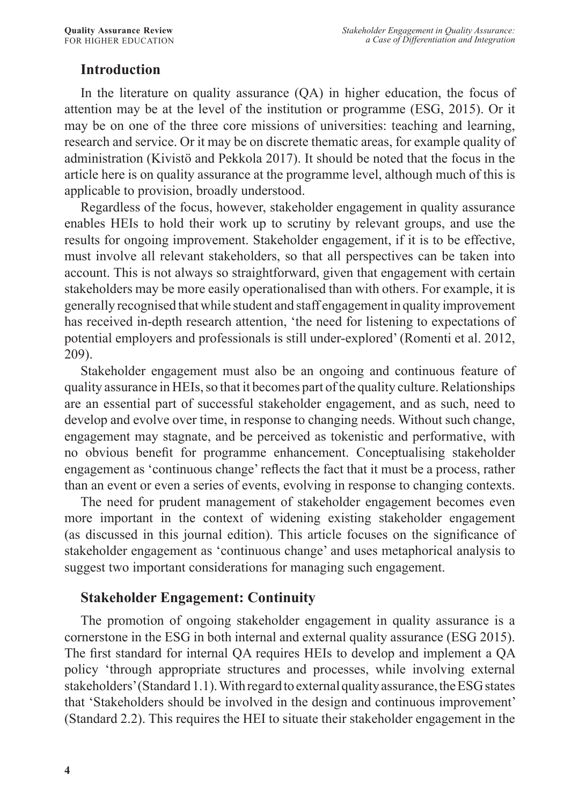# **Introduction**

In the literature on quality assurance (QA) in higher education, the focus of attention may be at the level of the institution or programme (ESG, 2015). Or it may be on one of the three core missions of universities: teaching and learning, research and service. Or it may be on discrete thematic areas, for example quality of administration (Kivistö and Pekkola 2017). It should be noted that the focus in the article here is on quality assurance at the programme level, although much of this is applicable to provision, broadly understood.

Regardless of the focus, however, stakeholder engagement in quality assurance enables HEIs to hold their work up to scrutiny by relevant groups, and use the results for ongoing improvement. Stakeholder engagement, if it is to be effective, must involve all relevant stakeholders, so that all perspectives can be taken into account. This is not always so straightforward, given that engagement with certain stakeholders may be more easily operationalised than with others. For example, it is generally recognised that while student and staff engagement in quality improvement has received in-depth research attention, 'the need for listening to expectations of potential employers and professionals is still under-explored' (Romenti et al. 2012, 209).

Stakeholder engagement must also be an ongoing and continuous feature of quality assurance in HEIs, so that it becomes part of the quality culture. Relationships are an essential part of successful stakeholder engagement, and as such, need to develop and evolve over time, in response to changing needs. Without such change, engagement may stagnate, and be perceived as tokenistic and performative, with no obvious benefit for programme enhancement. Conceptualising stakeholder engagement as 'continuous change' reflects the fact that it must be a process, rather than an event or even a series of events, evolving in response to changing contexts.

The need for prudent management of stakeholder engagement becomes even more important in the context of widening existing stakeholder engagement (as discussed in this journal edition). This article focuses on the significance of stakeholder engagement as 'continuous change' and uses metaphorical analysis to suggest two important considerations for managing such engagement.

## **Stakeholder Engagement: Continuity**

The promotion of ongoing stakeholder engagement in quality assurance is a cornerstone in the ESG in both internal and external quality assurance (ESG 2015). The first standard for internal QA requires HEIs to develop and implement a QA policy 'through appropriate structures and processes, while involving external stakeholders' (Standard 1.1). With regard to external quality assurance, the ESG states that 'Stakeholders should be involved in the design and continuous improvement' (Standard 2.2). This requires the HEI to situate their stakeholder engagement in the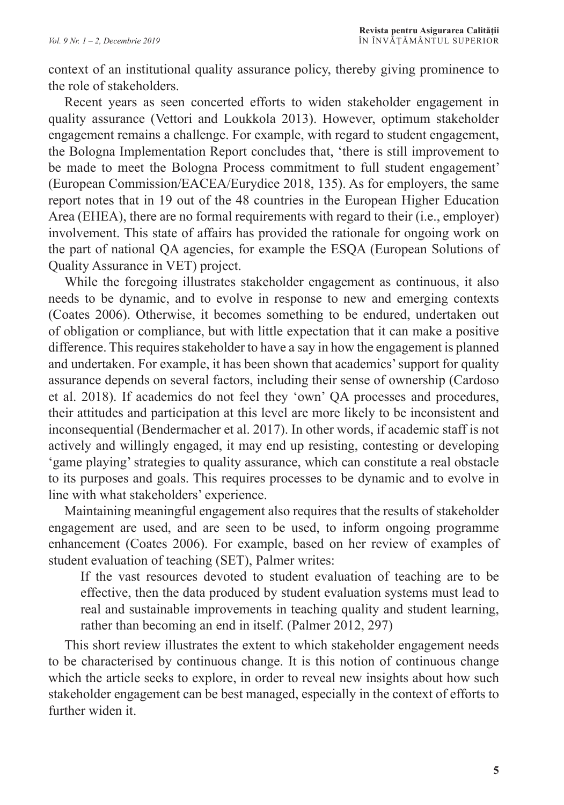context of an institutional quality assurance policy, thereby giving prominence to the role of stakeholders.

Recent years as seen concerted efforts to widen stakeholder engagement in quality assurance (Vettori and Loukkola 2013). However, optimum stakeholder engagement remains a challenge. For example, with regard to student engagement, the Bologna Implementation Report concludes that, 'there is still improvement to be made to meet the Bologna Process commitment to full student engagement' (European Commission/EACEA/Eurydice 2018, 135). As for employers, the same report notes that in 19 out of the 48 countries in the European Higher Education Area (EHEA), there are no formal requirements with regard to their (i.e., employer) involvement. This state of affairs has provided the rationale for ongoing work on the part of national QA agencies, for example the ESQA (European Solutions of Quality Assurance in VET) project.

While the foregoing illustrates stakeholder engagement as continuous, it also needs to be dynamic, and to evolve in response to new and emerging contexts (Coates 2006). Otherwise, it becomes something to be endured, undertaken out of obligation or compliance, but with little expectation that it can make a positive difference. This requires stakeholder to have a say in how the engagement is planned and undertaken. For example, it has been shown that academics' support for quality assurance depends on several factors, including their sense of ownership (Cardoso et al. 2018). If academics do not feel they 'own' QA processes and procedures, their attitudes and participation at this level are more likely to be inconsistent and inconsequential (Bendermacher et al. 2017). In other words, if academic staff is not actively and willingly engaged, it may end up resisting, contesting or developing 'game playing' strategies to quality assurance, which can constitute a real obstacle to its purposes and goals. This requires processes to be dynamic and to evolve in line with what stakeholders' experience.

Maintaining meaningful engagement also requires that the results of stakeholder engagement are used, and are seen to be used, to inform ongoing programme enhancement (Coates 2006). For example, based on her review of examples of student evaluation of teaching (SET), Palmer writes:

If the vast resources devoted to student evaluation of teaching are to be effective, then the data produced by student evaluation systems must lead to real and sustainable improvements in teaching quality and student learning, rather than becoming an end in itself. (Palmer 2012, 297)

This short review illustrates the extent to which stakeholder engagement needs to be characterised by continuous change. It is this notion of continuous change which the article seeks to explore, in order to reveal new insights about how such stakeholder engagement can be best managed, especially in the context of efforts to further widen it.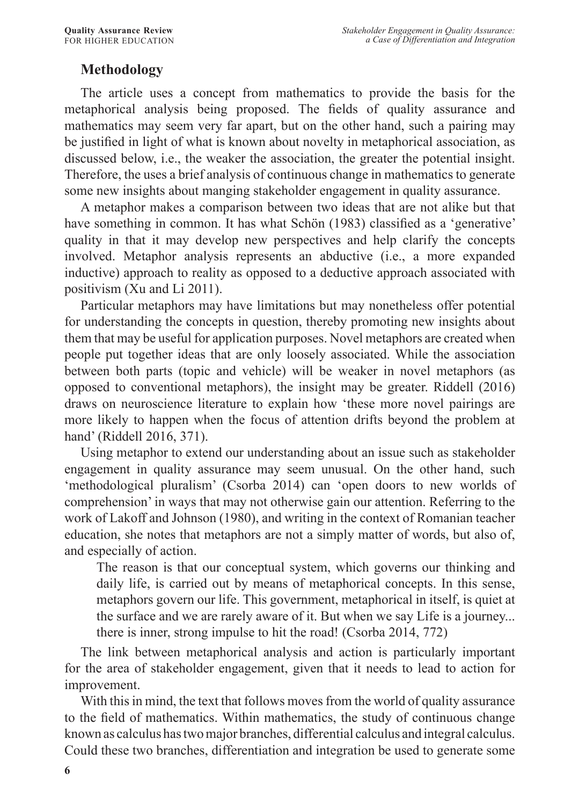# **Methodology**

The article uses a concept from mathematics to provide the basis for the metaphorical analysis being proposed. The fields of quality assurance and mathematics may seem very far apart, but on the other hand, such a pairing may be justified in light of what is known about novelty in metaphorical association, as discussed below, i.e., the weaker the association, the greater the potential insight. Therefore, the uses a brief analysis of continuous change in mathematics to generate some new insights about manging stakeholder engagement in quality assurance.

A metaphor makes a comparison between two ideas that are not alike but that have something in common. It has what Schön (1983) classified as a 'generative' quality in that it may develop new perspectives and help clarify the concepts involved. Metaphor analysis represents an abductive (i.e., a more expanded inductive) approach to reality as opposed to a deductive approach associated with positivism (Xu and Li 2011).

Particular metaphors may have limitations but may nonetheless offer potential for understanding the concepts in question, thereby promoting new insights about them that may be useful for application purposes. Novel metaphors are created when people put together ideas that are only loosely associated. While the association between both parts (topic and vehicle) will be weaker in novel metaphors (as opposed to conventional metaphors), the insight may be greater. Riddell (2016) draws on neuroscience literature to explain how 'these more novel pairings are more likely to happen when the focus of attention drifts beyond the problem at hand' (Riddell 2016, 371).

Using metaphor to extend our understanding about an issue such as stakeholder engagement in quality assurance may seem unusual. On the other hand, such 'methodological pluralism' (Csorba 2014) can 'open doors to new worlds of comprehension' in ways that may not otherwise gain our attention. Referring to the work of Lakoff and Johnson (1980), and writing in the context of Romanian teacher education, she notes that metaphors are not a simply matter of words, but also of, and especially of action.

The reason is that our conceptual system, which governs our thinking and daily life, is carried out by means of metaphorical concepts. In this sense, metaphors govern our life. This government, metaphorical in itself, is quiet at the surface and we are rarely aware of it. But when we say Life is a journey... there is inner, strong impulse to hit the road! (Csorba 2014, 772)

The link between metaphorical analysis and action is particularly important for the area of stakeholder engagement, given that it needs to lead to action for improvement.

With this in mind, the text that follows moves from the world of quality assurance to the field of mathematics. Within mathematics, the study of continuous change known as calculus has two major branches, differential calculus and integral calculus. Could these two branches, differentiation and integration be used to generate some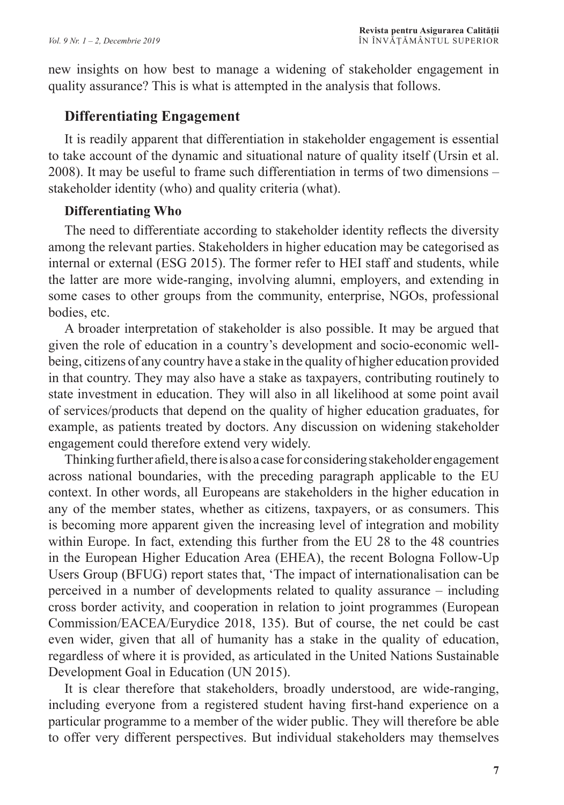new insights on how best to manage a widening of stakeholder engagement in quality assurance? This is what is attempted in the analysis that follows.

# **Differentiating Engagement**

It is readily apparent that differentiation in stakeholder engagement is essential to take account of the dynamic and situational nature of quality itself (Ursin et al. 2008). It may be useful to frame such differentiation in terms of two dimensions – stakeholder identity (who) and quality criteria (what).

## **Differentiating Who**

The need to differentiate according to stakeholder identity reflects the diversity among the relevant parties. Stakeholders in higher education may be categorised as internal or external (ESG 2015). The former refer to HEI staff and students, while the latter are more wide-ranging, involving alumni, employers, and extending in some cases to other groups from the community, enterprise, NGOs, professional bodies, etc.

A broader interpretation of stakeholder is also possible. It may be argued that given the role of education in a country's development and socio-economic wellbeing, citizens of any country have a stake in the quality of higher education provided in that country. They may also have a stake as taxpayers, contributing routinely to state investment in education. They will also in all likelihood at some point avail of services/products that depend on the quality of higher education graduates, for example, as patients treated by doctors. Any discussion on widening stakeholder engagement could therefore extend very widely.

Thinking further afield, there is also a case for considering stakeholder engagement across national boundaries, with the preceding paragraph applicable to the EU context. In other words, all Europeans are stakeholders in the higher education in any of the member states, whether as citizens, taxpayers, or as consumers. This is becoming more apparent given the increasing level of integration and mobility within Europe. In fact, extending this further from the EU 28 to the 48 countries in the European Higher Education Area (EHEA), the recent Bologna Follow-Up Users Group (BFUG) report states that, 'The impact of internationalisation can be perceived in a number of developments related to quality assurance – including cross border activity, and cooperation in relation to joint programmes (European Commission/EACEA/Eurydice 2018, 135). But of course, the net could be cast even wider, given that all of humanity has a stake in the quality of education, regardless of where it is provided, as articulated in the United Nations Sustainable Development Goal in Education (UN 2015).

It is clear therefore that stakeholders, broadly understood, are wide-ranging, including everyone from a registered student having first-hand experience on a particular programme to a member of the wider public. They will therefore be able to offer very different perspectives. But individual stakeholders may themselves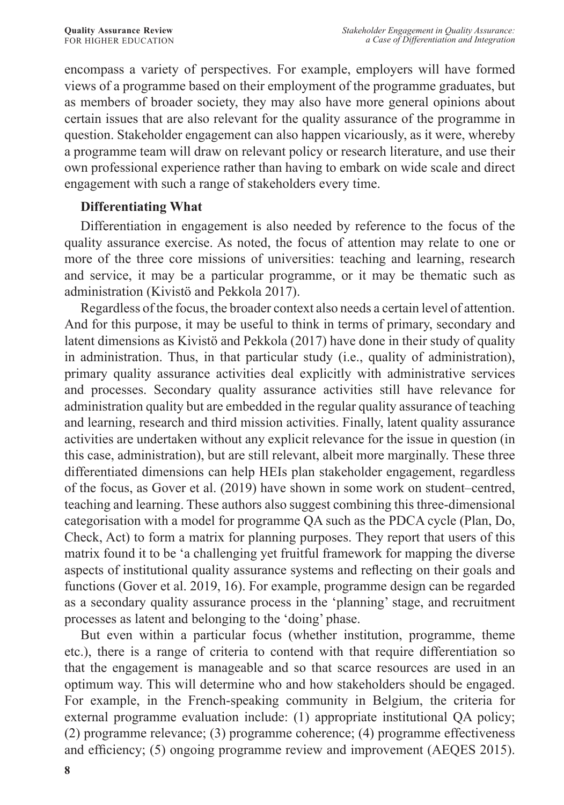encompass a variety of perspectives. For example, employers will have formed views of a programme based on their employment of the programme graduates, but as members of broader society, they may also have more general opinions about certain issues that are also relevant for the quality assurance of the programme in question. Stakeholder engagement can also happen vicariously, as it were, whereby a programme team will draw on relevant policy or research literature, and use their own professional experience rather than having to embark on wide scale and direct engagement with such a range of stakeholders every time.

### **Differentiating What**

Differentiation in engagement is also needed by reference to the focus of the quality assurance exercise. As noted, the focus of attention may relate to one or more of the three core missions of universities: teaching and learning, research and service, it may be a particular programme, or it may be thematic such as administration (Kivistö and Pekkola 2017).

Regardless of the focus, the broader context also needs a certain level of attention. And for this purpose, it may be useful to think in terms of primary, secondary and latent dimensions as Kivistö and Pekkola (2017) have done in their study of quality in administration. Thus, in that particular study (i.e., quality of administration), primary quality assurance activities deal explicitly with administrative services and processes. Secondary quality assurance activities still have relevance for administration quality but are embedded in the regular quality assurance of teaching and learning, research and third mission activities. Finally, latent quality assurance activities are undertaken without any explicit relevance for the issue in question (in this case, administration), but are still relevant, albeit more marginally. These three differentiated dimensions can help HEIs plan stakeholder engagement, regardless of the focus, as Gover et al. (2019) have shown in some work on student–centred, teaching and learning. These authors also suggest combining this three-dimensional categorisation with a model for programme QA such as the PDCA cycle (Plan, Do, Check, Act) to form a matrix for planning purposes. They report that users of this matrix found it to be 'a challenging yet fruitful framework for mapping the diverse aspects of institutional quality assurance systems and reflecting on their goals and functions (Gover et al. 2019, 16). For example, programme design can be regarded as a secondary quality assurance process in the 'planning' stage, and recruitment processes as latent and belonging to the 'doing' phase.

But even within a particular focus (whether institution, programme, theme etc.), there is a range of criteria to contend with that require differentiation so that the engagement is manageable and so that scarce resources are used in an optimum way. This will determine who and how stakeholders should be engaged. For example, in the French-speaking community in Belgium, the criteria for external programme evaluation include: (1) appropriate institutional QA policy; (2) programme relevance; (3) programme coherence; (4) programme effectiveness and efficiency; (5) ongoing programme review and improvement (AEQES 2015).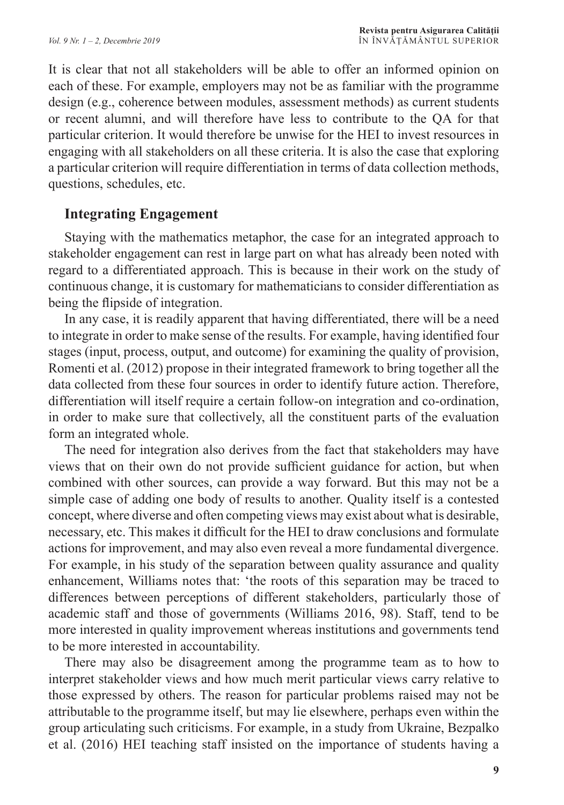It is clear that not all stakeholders will be able to offer an informed opinion on each of these. For example, employers may not be as familiar with the programme design (e.g., coherence between modules, assessment methods) as current students or recent alumni, and will therefore have less to contribute to the QA for that particular criterion. It would therefore be unwise for the HEI to invest resources in engaging with all stakeholders on all these criteria. It is also the case that exploring a particular criterion will require differentiation in terms of data collection methods, questions, schedules, etc.

#### **Integrating Engagement**

Staying with the mathematics metaphor, the case for an integrated approach to stakeholder engagement can rest in large part on what has already been noted with regard to a differentiated approach. This is because in their work on the study of continuous change, it is customary for mathematicians to consider differentiation as being the flipside of integration.

In any case, it is readily apparent that having differentiated, there will be a need to integrate in order to make sense of the results. For example, having identified four stages (input, process, output, and outcome) for examining the quality of provision, Romenti et al. (2012) propose in their integrated framework to bring together all the data collected from these four sources in order to identify future action. Therefore, differentiation will itself require a certain follow-on integration and co-ordination, in order to make sure that collectively, all the constituent parts of the evaluation form an integrated whole.

The need for integration also derives from the fact that stakeholders may have views that on their own do not provide sufficient guidance for action, but when combined with other sources, can provide a way forward. But this may not be a simple case of adding one body of results to another. Quality itself is a contested concept, where diverse and often competing views may exist about what is desirable, necessary, etc. This makes it difficult for the HEI to draw conclusions and formulate actions for improvement, and may also even reveal a more fundamental divergence. For example, in his study of the separation between quality assurance and quality enhancement, Williams notes that: 'the roots of this separation may be traced to differences between perceptions of different stakeholders, particularly those of academic staff and those of governments (Williams 2016, 98). Staff, tend to be more interested in quality improvement whereas institutions and governments tend to be more interested in accountability.

There may also be disagreement among the programme team as to how to interpret stakeholder views and how much merit particular views carry relative to those expressed by others. The reason for particular problems raised may not be attributable to the programme itself, but may lie elsewhere, perhaps even within the group articulating such criticisms. For example, in a study from Ukraine, Bezpalko et al. (2016) HEI teaching staff insisted on the importance of students having a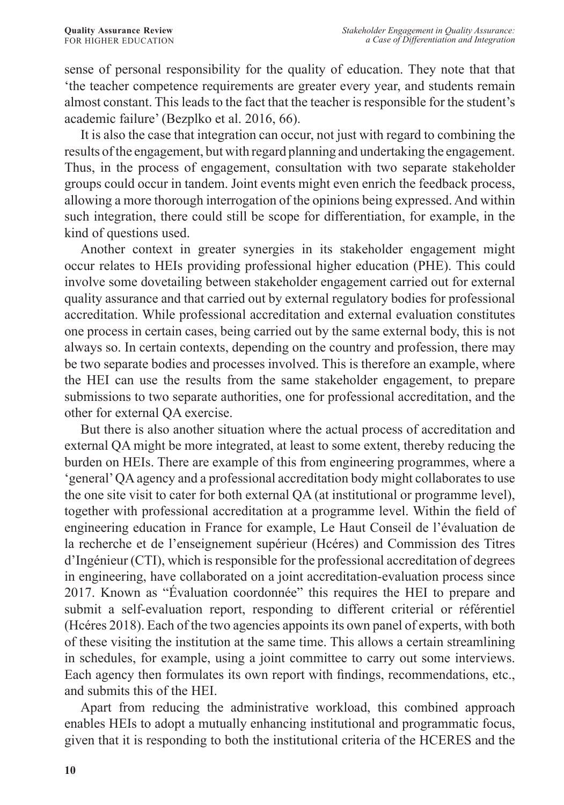sense of personal responsibility for the quality of education. They note that that 'the teacher competence requirements are greater every year, and students remain almost constant. This leads to the fact that the teacher is responsible for the student's academic failure' (Bezplko et al. 2016, 66).

It is also the case that integration can occur, not just with regard to combining the results of the engagement, but with regard planning and undertaking the engagement. Thus, in the process of engagement, consultation with two separate stakeholder groups could occur in tandem. Joint events might even enrich the feedback process, allowing a more thorough interrogation of the opinions being expressed. And within such integration, there could still be scope for differentiation, for example, in the kind of questions used.

Another context in greater synergies in its stakeholder engagement might occur relates to HEIs providing professional higher education (PHE). This could involve some dovetailing between stakeholder engagement carried out for external quality assurance and that carried out by external regulatory bodies for professional accreditation. While professional accreditation and external evaluation constitutes one process in certain cases, being carried out by the same external body, this is not always so. In certain contexts, depending on the country and profession, there may be two separate bodies and processes involved. This is therefore an example, where the HEI can use the results from the same stakeholder engagement, to prepare submissions to two separate authorities, one for professional accreditation, and the other for external QA exercise.

But there is also another situation where the actual process of accreditation and external QA might be more integrated, at least to some extent, thereby reducing the burden on HEIs. There are example of this from engineering programmes, where a 'general' QA agency and a professional accreditation body might collaborates to use the one site visit to cater for both external QA (at institutional or programme level), together with professional accreditation at a programme level. Within the field of engineering education in France for example, Le Haut Conseil de l'évaluation de la recherche et de l'enseignement supérieur (Hcéres) and Commission des Titres d'Ingénieur (CTI), which is responsible for the professional accreditation of degrees in engineering, have collaborated on a joint accreditation-evaluation process since 2017. Known as "Évaluation coordonnée" this requires the HEI to prepare and submit a self-evaluation report, responding to different criterial or référentiel (Hcéres 2018). Each of the two agencies appoints its own panel of experts, with both of these visiting the institution at the same time. This allows a certain streamlining in schedules, for example, using a joint committee to carry out some interviews. Each agency then formulates its own report with findings, recommendations, etc., and submits this of the HEI.

Apart from reducing the administrative workload, this combined approach enables HEIs to adopt a mutually enhancing institutional and programmatic focus, given that it is responding to both the institutional criteria of the HCERES and the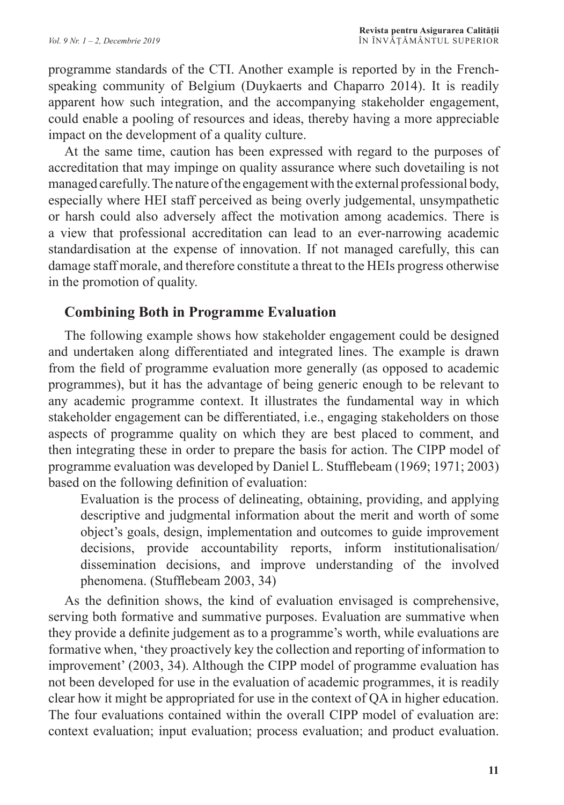programme standards of the CTI. Another example is reported by in the Frenchspeaking community of Belgium (Duykaerts and Chaparro 2014). It is readily apparent how such integration, and the accompanying stakeholder engagement, could enable a pooling of resources and ideas, thereby having a more appreciable impact on the development of a quality culture.

At the same time, caution has been expressed with regard to the purposes of accreditation that may impinge on quality assurance where such dovetailing is not managed carefully. The nature of the engagement with the external professional body, especially where HEI staff perceived as being overly judgemental, unsympathetic or harsh could also adversely affect the motivation among academics. There is a view that professional accreditation can lead to an ever-narrowing academic standardisation at the expense of innovation. If not managed carefully, this can damage staff morale, and therefore constitute a threat to the HEIs progress otherwise in the promotion of quality.

### **Combining Both in Programme Evaluation**

The following example shows how stakeholder engagement could be designed and undertaken along differentiated and integrated lines. The example is drawn from the field of programme evaluation more generally (as opposed to academic programmes), but it has the advantage of being generic enough to be relevant to any academic programme context. It illustrates the fundamental way in which stakeholder engagement can be differentiated, i.e., engaging stakeholders on those aspects of programme quality on which they are best placed to comment, and then integrating these in order to prepare the basis for action. The CIPP model of programme evaluation was developed by Daniel L. Stufflebeam (1969; 1971; 2003) based on the following definition of evaluation:

Evaluation is the process of delineating, obtaining, providing, and applying descriptive and judgmental information about the merit and worth of some object's goals, design, implementation and outcomes to guide improvement decisions, provide accountability reports, inform institutionalisation/ dissemination decisions, and improve understanding of the involved phenomena. (Stufflebeam 2003, 34)

As the definition shows, the kind of evaluation envisaged is comprehensive, serving both formative and summative purposes. Evaluation are summative when they provide a definite judgement as to a programme's worth, while evaluations are formative when, 'they proactively key the collection and reporting of information to improvement' (2003, 34). Although the CIPP model of programme evaluation has not been developed for use in the evaluation of academic programmes, it is readily clear how it might be appropriated for use in the context of QA in higher education. The four evaluations contained within the overall CIPP model of evaluation are: context evaluation; input evaluation; process evaluation; and product evaluation.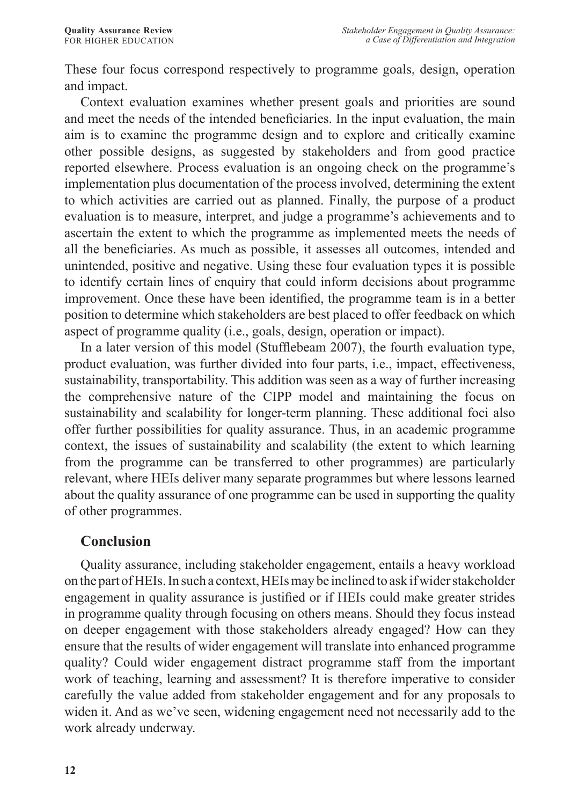These four focus correspond respectively to programme goals, design, operation and impact.

Context evaluation examines whether present goals and priorities are sound and meet the needs of the intended beneficiaries. In the input evaluation, the main aim is to examine the programme design and to explore and critically examine other possible designs, as suggested by stakeholders and from good practice reported elsewhere. Process evaluation is an ongoing check on the programme's implementation plus documentation of the process involved, determining the extent to which activities are carried out as planned. Finally, the purpose of a product evaluation is to measure, interpret, and judge a programme's achievements and to ascertain the extent to which the programme as implemented meets the needs of all the beneficiaries. As much as possible, it assesses all outcomes, intended and unintended, positive and negative. Using these four evaluation types it is possible to identify certain lines of enquiry that could inform decisions about programme improvement. Once these have been identified, the programme team is in a better position to determine which stakeholders are best placed to offer feedback on which aspect of programme quality (i.e., goals, design, operation or impact).

In a later version of this model (Stufflebeam 2007), the fourth evaluation type, product evaluation, was further divided into four parts, i.e., impact, effectiveness, sustainability, transportability. This addition was seen as a way of further increasing the comprehensive nature of the CIPP model and maintaining the focus on sustainability and scalability for longer-term planning. These additional foci also offer further possibilities for quality assurance. Thus, in an academic programme context, the issues of sustainability and scalability (the extent to which learning from the programme can be transferred to other programmes) are particularly relevant, where HEIs deliver many separate programmes but where lessons learned about the quality assurance of one programme can be used in supporting the quality of other programmes.

### **Conclusion**

Quality assurance, including stakeholder engagement, entails a heavy workload on the part of HEIs. In such a context, HEIs may be inclined to ask if wider stakeholder engagement in quality assurance is justified or if HEIs could make greater strides in programme quality through focusing on others means. Should they focus instead on deeper engagement with those stakeholders already engaged? How can they ensure that the results of wider engagement will translate into enhanced programme quality? Could wider engagement distract programme staff from the important work of teaching, learning and assessment? It is therefore imperative to consider carefully the value added from stakeholder engagement and for any proposals to widen it. And as we've seen, widening engagement need not necessarily add to the work already underway.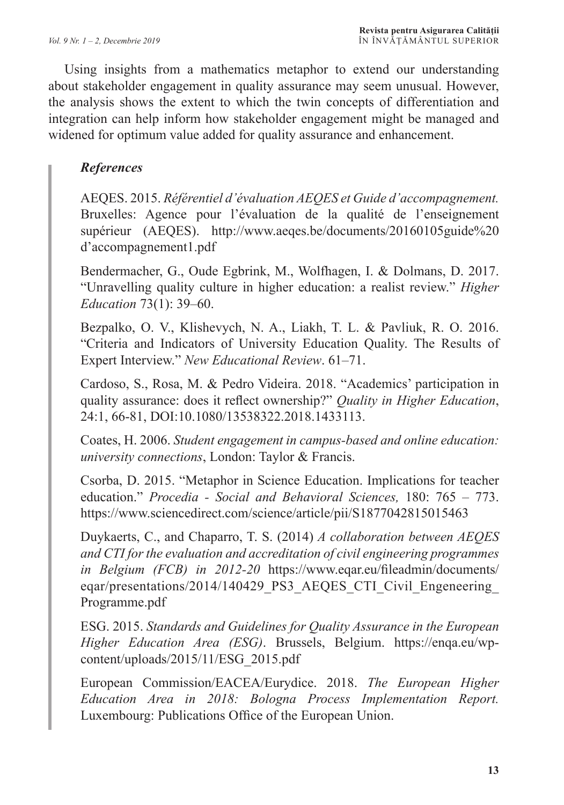Using insights from a mathematics metaphor to extend our understanding about stakeholder engagement in quality assurance may seem unusual. However, the analysis shows the extent to which the twin concepts of differentiation and integration can help inform how stakeholder engagement might be managed and widened for optimum value added for quality assurance and enhancement.

### *References*

AEQES. 2015. *Référentiel d'évaluation AEQES et Guide d'accompagnement.*  Bruxelles: Agence pour l'évaluation de la qualité de l'enseignement supérieur (AEQES). http://www.aeqes.be/documents/20160105guide%20 d'accompagnement1.pdf

Bendermacher, G., Oude Egbrink, M., Wolfhagen, I. & Dolmans, D. 2017. "Unravelling quality culture in higher education: a realist review." *Higher Education* 73(1): 39–60.

Bezpalko, O. V., Klishevych, N. A., Liakh, T. L. & Pavliuk, R. O. 2016. "Criteria and Indicators of University Education Quality. The Results of Expert Interview." *New Educational Review*. 61–71.

Cardoso, S., Rosa, M. & Pedro Videira. 2018. "Academics' participation in quality assurance: does it reflect ownership?" *Quality in Higher Education*, 24:1, 66-81, DOI:10.1080/13538322.2018.1433113.

Coates, H. 2006. *Student engagement in campus-based and online education: university connections*, London: Taylor & Francis.

Csorba, D. 2015. "Metaphor in Science Education. Implications for teacher education." *Procedia - Social and Behavioral Sciences,* 180: 765 – 773. https://www.sciencedirect.com/science/article/pii/S1877042815015463

Duykaerts, C., and Chaparro, T. S. (2014) *A collaboration between AEQES and CTI for the evaluation and accreditation of civil engineering programmes in Belgium (FCB) in 2012-20* https://www.eqar.eu/fileadmin/documents/ eqar/presentations/2014/140429\_PS3\_AEQES\_CTI\_Civil\_Engeneering Programme.pdf

ESG. 2015. *Standards and Guidelines for Quality Assurance in the European Higher Education Area (ESG)*. Brussels, Belgium. https://enqa.eu/wpcontent/uploads/2015/11/ESG\_2015.pdf

European Commission/EACEA/Eurydice. 2018. *The European Higher Education Area in 2018: Bologna Process Implementation Report.* Luxembourg: Publications Office of the European Union.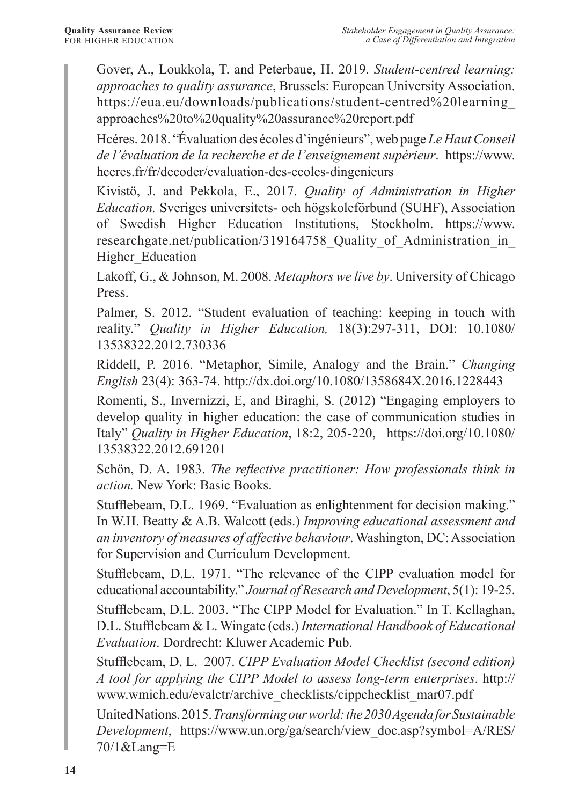Gover, A., Loukkola, T. and Peterbaue, H. 2019. *Student-centred learning: approaches to quality assurance*, Brussels: European University Association. https://eua.eu/downloads/publications/student-centred%20learning\_ approaches%20to%20quality%20assurance%20report.pdf

Hcéres. 2018. "Évaluation des écoles d'ingénieurs", web page *Le Haut Conseil de l'évaluation de la recherche et de l'enseignement supérieur*. https://www. hceres.fr/fr/decoder/evaluation-des-ecoles-dingenieurs

Kivistö, J. and Pekkola, E., 2017. *Quality of Administration in Higher Education.* Sveriges universitets- och högskoleförbund (SUHF), Association of Swedish Higher Education Institutions, Stockholm. https://www. researchgate.net/publication/319164758 Quality of Administration in Higher\_Education

Lakoff, G., & Johnson, M. 2008. *Metaphors we live by*. University of Chicago Press.

Palmer, S. 2012. "Student evaluation of teaching: keeping in touch with reality." *Quality in Higher Education,* 18(3):297-311, DOI: 10.1080/ 13538322.2012.730336

Riddell, P. 2016. "Metaphor, Simile, Analogy and the Brain." *Changing English* 23(4): 363-74. http://dx.doi.org/10.1080/1358684X.2016.1228443

Romenti, S., Invernizzi, E, and Biraghi, S. (2012) "Engaging employers to develop quality in higher education: the case of communication studies in Italy" *Quality in Higher Education*, 18:2, 205-220, https://doi.org/10.1080/ 13538322.2012.691201

Schön, D. A. 1983. *The reflective practitioner: How professionals think in action.* New York: Basic Books.

Stufflebeam, D.L. 1969. "Evaluation as enlightenment for decision making." In W.H. Beatty & A.B. Walcott (eds.) *Improving educational assessment and an inventory of measures of affective behaviour*. Washington, DC: Association for Supervision and Curriculum Development.

Stufflebeam, D.L. 1971. "The relevance of the CIPP evaluation model for educational accountability." *Journal of Research and Development*, 5(1): 19‑25.

Stufflebeam, D.L. 2003. "The CIPP Model for Evaluation." In T. Kellaghan, D.L. Stufflebeam & L. Wingate (eds.) *International Handbook of Educational Evaluation*. Dordrecht: Kluwer Academic Pub.

Stufflebeam, D. L. 2007. *CIPP Evaluation Model Checklist (second edition) A tool for applying the CIPP Model to assess long-term enterprises*. http:// www.wmich.edu/evalctr/archive\_checklists/cippchecklist\_mar07.pdf

United Nations. 2015. *Transforming our world: the 2030 Agenda for Sustainable Development*, https://www.un.org/ga/search/view\_doc.asp?symbol=A/RES/ 70/1&Lang=E